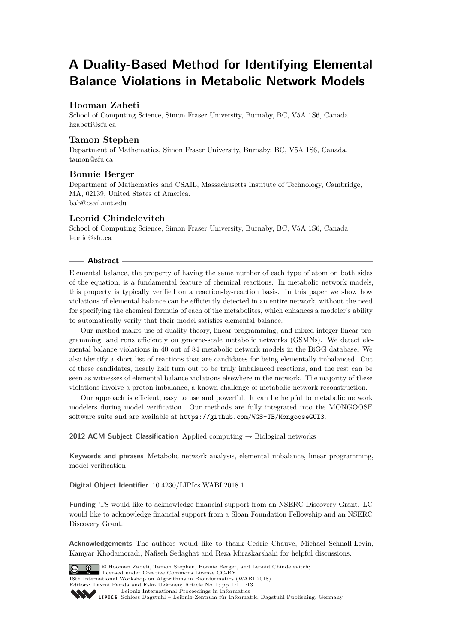# **A Duality-Based Method for Identifying Elemental Balance Violations in Metabolic Network Models**

# **Hooman Zabeti**

School of Computing Science, Simon Fraser University, Burnaby, BC, V5A 1S6, Canada [hzabeti@sfu.ca](mailto:hzabeti@sfu.ca)

# **Tamon Stephen**

Department of Mathematics, Simon Fraser University, Burnaby, BC, V5A 1S6, Canada. [tamon@sfu.ca](mailto:tamon@sfu.ca)

# **Bonnie Berger**

Department of Mathematics and CSAIL, Massachusetts Institute of Technology, Cambridge, MA, 02139, United States of America. [bab@csail.mit.edu](mailto:bab@csail.mit.edu)

# **Leonid Chindelevitch**

School of Computing Science, Simon Fraser University, Burnaby, BC, V5A 1S6, Canada [leonid@sfu.ca](mailto:leonid@sfu.ca)

# **Abstract**

Elemental balance, the property of having the same number of each type of atom on both sides of the equation, is a fundamental feature of chemical reactions. In metabolic network models, this property is typically verified on a reaction-by-reaction basis. In this paper we show how violations of elemental balance can be efficiently detected in an entire network, without the need for specifying the chemical formula of each of the metabolites, which enhances a modeler's ability to automatically verify that their model satisfies elemental balance.

Our method makes use of duality theory, linear programming, and mixed integer linear programming, and runs efficiently on genome-scale metabolic networks (GSMNs). We detect elemental balance violations in 40 out of 84 metabolic network models in the BiGG database. We also identify a short list of reactions that are candidates for being elementally imbalanced. Out of these candidates, nearly half turn out to be truly imbalanced reactions, and the rest can be seen as witnesses of elemental balance violations elsewhere in the network. The majority of these violations involve a proton imbalance, a known challenge of metabolic network reconstruction.

Our approach is efficient, easy to use and powerful. It can be helpful to metabolic network modelers during model verification. Our methods are fully integrated into the MONGOOSE software suite and are available at <https://github.com/WGS-TB/MongooseGUI3>.

**2012 ACM Subject Classification** Applied computing → Biological networks

**Keywords and phrases** Metabolic network analysis, elemental imbalance, linear programming, model verification

**Digital Object Identifier** [10.4230/LIPIcs.WABI.2018.1](http://dx.doi.org/10.4230/LIPIcs.WABI.2018.1)

**Funding** TS would like to acknowledge financial support from an NSERC Discovery Grant. LC would like to acknowledge financial support from a Sloan Foundation Fellowship and an NSERC Discovery Grant.

**Acknowledgements** The authors would like to thank Cedric Chauve, Michael Schnall-Levin, Kamyar Khodamoradi, Nafiseh Sedaghat and Reza Miraskarshahi for helpful discussions.

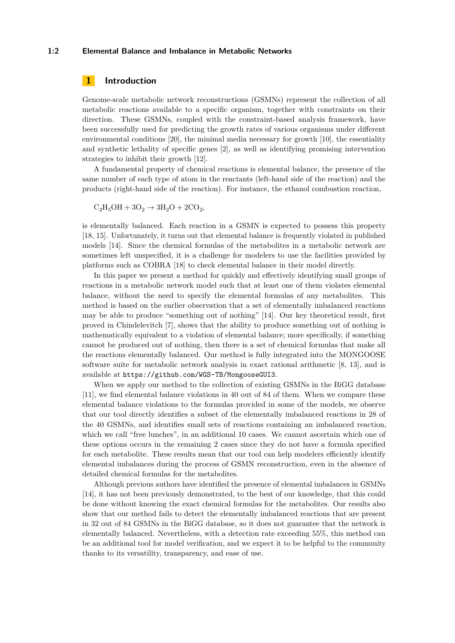#### **1:2 Elemental Balance and Imbalance in Metabolic Networks**

# **1 Introduction**

Genome-scale metabolic network reconstructions (GSMNs) represent the collection of all metabolic reactions available to a specific organism, together with constraints on their direction. These GSMNs, coupled with the constraint-based analysis framework, have been successfully used for predicting the growth rates of various organisms under different environmental conditions [\[20\]](#page-12-1), the minimal media necessary for growth [\[10\]](#page-11-0), the essentiality and synthetic lethality of specific genes [\[2\]](#page-11-1), as well as identifying promising intervention strategies to inhibit their growth [\[12\]](#page-11-2).

A fundamental property of chemical reactions is elemental balance, the presence of the same number of each type of atom in the reactants (left-hand side of the reaction) and the products (right-hand side of the reaction). For instance, the ethanol combustion reaction,

$$
C_2H_5OH + 3O_2 \rightarrow 3H_2O + 2CO_2,
$$

is elementally balanced. Each reaction in a GSMN is expected to possess this property [\[18,](#page-12-2) [15\]](#page-11-3). Unfortunately, it turns out that elemental balance is frequently violated in published models [\[14\]](#page-11-4). Since the chemical formulas of the metabolites in a metabolic network are sometimes left unspecified, it is a challenge for modelers to use the facilities provided by platforms such as COBRA [\[18\]](#page-12-2) to check elemental balance in their model directly.

In this paper we present a method for quickly and effectively identifying small groups of reactions in a metabolic network model such that at least one of them violates elemental balance, without the need to specify the elemental formulas of any metabolites. This method is based on the earlier observation that a set of elementally imbalanced reactions may be able to produce "something out of nothing" [\[14\]](#page-11-4). Our key theoretical result, first proved in Chindelevitch [\[7\]](#page-11-5), shows that the ability to produce something out of nothing is mathematically equivalent to a violation of elemental balance; more specifically, if something cannot be produced out of nothing, then there is a set of chemical formulas that make all the reactions elementally balanced. Our method is fully integrated into the MONGOOSE software suite for metabolic network analysis in exact rational arithmetic [\[8,](#page-11-6) [13\]](#page-11-7), and is available at <https://github.com/WGS-TB/MongooseGUI3>.

When we apply our method to the collection of existing GSMNs in the BiGG database [\[11\]](#page-11-8), we find elemental balance violations in 40 out of 84 of them. When we compare these elemental balance violations to the formulas provided in some of the models, we observe that our tool directly identifies a subset of the elementally imbalanced reactions in 28 of the 40 GSMNs, and identifies small sets of reactions containing an imbalanced reaction, which we call "free lunches", in an additional 10 cases. We cannot ascertain which one of these options occurs in the remaining 2 cases since they do not have a formula specified for each metabolite. These results mean that our tool can help modelers efficiently identify elemental imbalances during the process of GSMN reconstruction, even in the absence of detailed chemical formulas for the metabolites.

Although previous authors have identified the presence of elemental imbalances in GSMNs [\[14\]](#page-11-4), it has not been previously demonstrated, to the best of our knowledge, that this could be done without knowing the exact chemical formulas for the metabolites. Our results also show that our method fails to detect the elementally imbalanced reactions that are present in 32 out of 84 GSMNs in the BiGG database, so it does not guarantee that the network is elementally balanced. Nevertheless, with a detection rate exceeding 55%, this method can be an additional tool for model verification, and we expect it to be helpful to the community thanks to its versatility, transparency, and ease of use.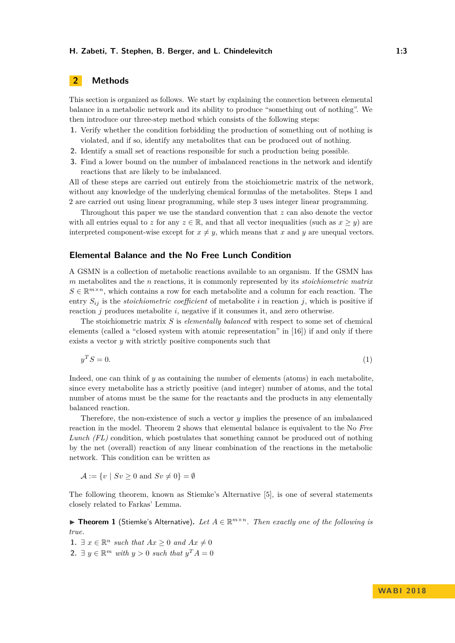# **2 Methods**

This section is organized as follows. We start by explaining the connection between elemental balance in a metabolic network and its ability to produce "something out of nothing". We then introduce our three-step method which consists of the following steps:

- **1.** Verify whether the condition forbidding the production of something out of nothing is violated, and if so, identify any metabolites that can be produced out of nothing.
- **2.** Identify a small set of reactions responsible for such a production being possible.
- **3.** Find a lower bound on the number of imbalanced reactions in the network and identify reactions that are likely to be imbalanced.

All of these steps are carried out entirely from the stoichiometric matrix of the network, without any knowledge of the underlying chemical formulas of the metabolites. Steps 1 and 2 are carried out using linear programming, while step 3 uses integer linear programming.

Throughout this paper we use the standard convention that *z* can also denote the vector with all entries equal to *z* for any  $z \in \mathbb{R}$ , and that all vector inequalities (such as  $x \geq y$ ) are interpreted component-wise except for  $x \neq y$ , which means that *x* and *y* are unequal vectors.

# **Elemental Balance and the No Free Lunch Condition**

A GSMN is a collection of metabolic reactions available to an organism. If the GSMN has *m* metabolites and the *n* reactions, it is commonly represented by its *stoichiometric matrix*  $S \in \mathbb{R}^{m \times n}$ , which contains a row for each metabolite and a column for each reaction. The entry  $S_{ij}$  is the *stoichiometric coefficient* of metabolite *i* in reaction *j*, which is positive if reaction *j* produces metabolite *i*, negative if it consumes it, and zero otherwise.

The stoichiometric matrix *S* is *elementally balanced* with respect to some set of chemical elements (called a "closed system with atomic representation" in [\[16\]](#page-11-9)) if and only if there exists a vector *y* with strictly positive components such that

<span id="page-2-1"></span>
$$
y^T S = 0.\tag{1}
$$

Indeed, one can think of *y* as containing the number of elements (atoms) in each metabolite, since every metabolite has a strictly positive (and integer) number of atoms, and the total number of atoms must be the same for the reactants and the products in any elementally balanced reaction.

Therefore, the non-existence of such a vector *y* implies the presence of an imbalanced reaction in the model. Theorem [2](#page-3-0) shows that elemental balance is equivalent to the No *Free Lunch (FL)* condition, which postulates that something cannot be produced out of nothing by the net (overall) reaction of any linear combination of the reactions in the metabolic network. This condition can be written as

 $\mathcal{A} := \{v \mid Sv \geq 0 \text{ and } Sv \neq 0\} = \emptyset$ 

The following theorem, known as Stiemke's Alternative [\[5\]](#page-11-10), is one of several statements closely related to Farkas' Lemma.

<span id="page-2-0"></span>I **Theorem 1** (Stiemke's Alternative)**.** *Let A* ∈ R *<sup>m</sup>*×*<sup>n</sup>. Then exactly one of the following is true.*

**1.** ∃  $x \in \mathbb{R}^n$  *such that*  $Ax \ge 0$  *and*  $Ax \ne 0$ **2.** ∃ *y* ∈  $\mathbb{R}^m$  *with y* > 0 *such that*  $y^T A = 0$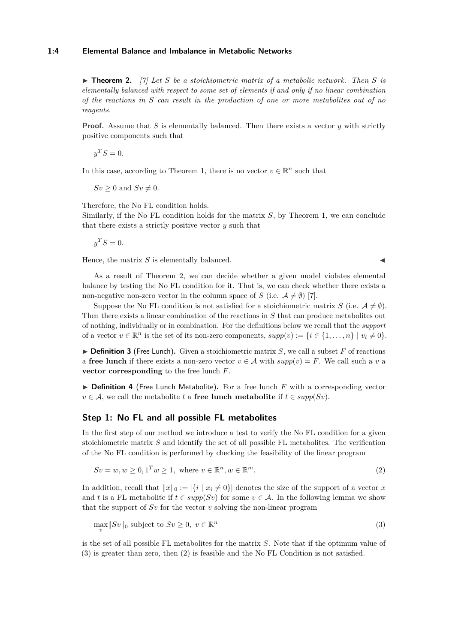<span id="page-3-0"></span>▶ **Theorem 2.** [\[7\]](#page-11-5) Let S be a stoichiometric matrix of a metabolic network. Then S is *elementally balanced with respect to some set of elements if and only if no linear combination of the reactions in S can result in the production of one or more metabolites out of no reagents.*

**Proof.** Assume that *S* is elementally balanced. Then there exists a vector *y* with strictly positive components such that

 $y^T S = 0.$ 

In this case, according to Theorem [1,](#page-2-0) there is no vector  $v \in \mathbb{R}^n$  such that

 $Sv \geq 0$  and  $Sv \neq 0$ .

Therefore, the No FL condition holds.

Similarly, if the No FL condition holds for the matrix *S*, by Theorem [1,](#page-2-0) we can conclude that there exists a strictly positive vector *y* such that

 $y^T S = 0.$ 

Hence, the matrix  $S$  is elementally balanced.

As a result of Theorem [2,](#page-3-0) we can decide whether a given model violates elemental balance by testing the No FL condition for it. That is, we can check whether there exists a non-negative non-zero vector in the column space of *S* (i.e.  $A \neq \emptyset$ ) [\[7\]](#page-11-5).

Suppose the No FL condition is not satisfied for a stoichiometric matrix *S* (i.e.  $\mathcal{A} \neq \emptyset$ ). Then there exists a linear combination of the reactions in *S* that can produce metabolites out of nothing, individually or in combination. For the definitions below we recall that the *support* of a vector  $v \in \mathbb{R}^n$  is the set of its non-zero components,  $supp(v) := \{i \in \{1, ..., n\} \mid v_i \neq 0\}.$ 

 $\triangleright$  **Definition 3** (Free Lunch). Given a stoichiometric matrix *S*, we call a subset *F* of reactions a **free lunch** if there exists a non-zero vector  $v \in A$  with  $supp(v) = F$ . We call such a *v* a **vector corresponding** to the free lunch *F*.

 $\triangleright$  **Definition 4** (Free Lunch Metabolite). For a free lunch *F* with a corresponding vector  $v \in A$ , we call the metabolite *t* a **free lunch metabolite** if  $t \in supp(Sv)$ .

## **Step 1: No FL and all possible FL metabolites**

In the first step of our method we introduce a test to verify the No FL condition for a given stoichiometric matrix *S* and identify the set of all possible FL metabolites. The verification of the No FL condition is performed by checking the feasibility of the linear program

$$
Sv = w, w \ge 0, 1^T w \ge 1, \text{ where } v \in \mathbb{R}^n, w \in \mathbb{R}^m. \tag{2}
$$

In addition, recall that  $||x||_0 := |\{i \mid x_i \neq 0\}|$  denotes the size of the support of a vector *x* and *t* is a FL metabolite if  $t \in supp(Sv)$  for some  $v \in A$ . In the following lemma we show that the support of *Sv* for the vector *v* solving the non-linear program

<span id="page-3-1"></span>
$$
\max_{v} \|Sv\|_{0} \text{ subject to } Sv \ge 0, \ v \in \mathbb{R}^{n}
$$
\n
$$
(3)
$$

is the set of all possible FL metabolites for the matrix *S*. Note that if the optimum value of [\(3\)](#page-3-1) is greater than zero, then [\(2\)](#page-3-2) is feasible and the No FL Condition is not satisfied.

<span id="page-3-2"></span>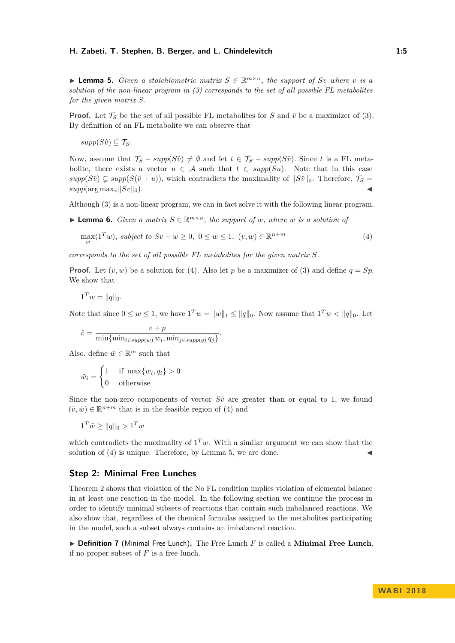<span id="page-4-1"></span>▶ **Lemma 5.** *Given a stoichiometric matrix*  $S \in \mathbb{R}^{m \times n}$ *, the support of Sv where v is a solution of the non-linear program in [\(3\)](#page-3-1) corresponds to the set of all possible FL metabolites for the given matrix S.*

**Proof.** Let  $\mathcal{T}_S$  be the set of all possible FL metabolites for *S* and  $\hat{v}$  be a maximizer of [\(3\)](#page-3-1). By definition of an FL metabolite we can observe that

 $supp(S\hat{v}) \subseteq \mathcal{T}_S$ *.* 

Now, assume that  $\mathcal{T}_S - supp(S\hat{v}) \neq \emptyset$  and let  $t \in \mathcal{T}_S - supp(S\hat{v})$ . Since *t* is a FL metabolite, there exists a vector  $u \in A$  such that  $t \in supp(Su)$ . Note that in this case  $supp(S\hat{v}) \subseteq supp(S(\hat{v}+u))$ , which contradicts the maximality of  $||S\hat{v}||_0$ . Therefore,  $\mathcal{T}_S =$  $supp(\arg \max_v ||Sv||_0).$ 

Although [\(3\)](#page-3-1) is a non-linear program, we can in fact solve it with the following linear program.

▶ **Lemma 6.** *Given a matrix*  $S \in \mathbb{R}^{m \times n}$ *, the support of w, where w is a solution of* 

<span id="page-4-0"></span>
$$
\max_{w} (1^T w), \text{ subject to } Sv - w \ge 0, \ 0 \le w \le 1, \ (v, w) \in \mathbb{R}^{n+m} \tag{4}
$$

*corresponds to the set of all possible FL metabolites for the given matrix S.*

**Proof.** Let  $(v, w)$  be a solution for [\(4\)](#page-4-0). Also let p be a maximizer of [\(3\)](#page-3-1) and define  $q = Sp$ . We show that

$$
1^T w = ||q||_0.
$$

Note that since  $0 \le w \le 1$ , we have  $1^T w = ||w||_1 \le ||q||_0$ . Now assume that  $1^T w < ||q||_0$ . Let

$$
\tilde{v} = \frac{v + p}{\min\{\min_{i \in \text{supp}(w)} w_i, \min_{j \in \text{supp}(q)} q_j\}}.
$$

Also, define  $\tilde{w} \in \mathbb{R}^m$  such that

$$
\tilde{w}_i = \begin{cases} 1 & \text{if } \max\{w_i, q_i\} > 0 \\ 0 & \text{otherwise} \end{cases}
$$

Since the non-zero components of vector  $S\tilde{v}$  are greater than or equal to 1, we found  $(\tilde{v}, \tilde{w}) \in \mathbb{R}^{n+m}$  that is in the feasible region of [\(4\)](#page-4-0) and

$$
1^T \tilde{w} \ge ||q||_0 > 1^T w
$$

which contradicts the maximality of  $1^T w$ . With a similar argument we can show that the solution of  $(4)$  is unique. Therefore, by Lemma [5,](#page-4-1) we are done.

## **Step 2: Minimal Free Lunches**

Theorem [2](#page-3-0) shows that violation of the No FL condition implies violation of elemental balance in at least one reaction in the model. In the following section we continue the process in order to identify minimal subsets of reactions that contain such imbalanced reactions. We also show that, regardless of the chemical formulas assigned to the metabolites participating in the model, such a subset always contains an imbalanced reaction.

▶ **Definition 7** (Minimal Free Lunch). The Free Lunch *F* is called a Minimal Free Lunch, if no proper subset of *F* is a free lunch.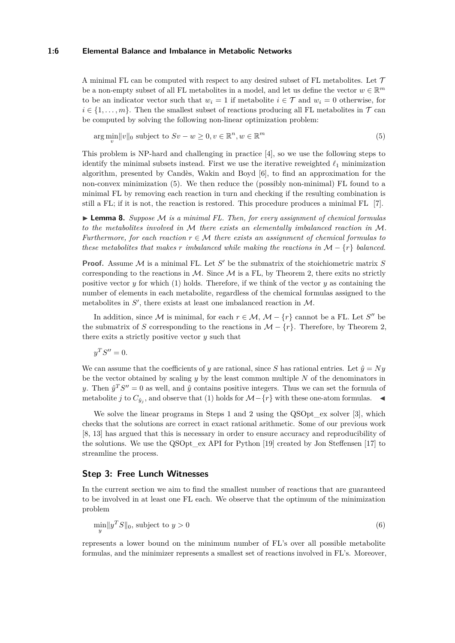#### **1:6 Elemental Balance and Imbalance in Metabolic Networks**

A minimal FL can be computed with respect to any desired subset of FL metabolites. Let  $\mathcal T$ be a non-empty subset of all FL metabolites in a model, and let us define the vector  $w \in \mathbb{R}^m$ to be an indicator vector such that  $w_i = 1$  if metabolite  $i \in \mathcal{T}$  and  $w_i = 0$  otherwise, for  $i \in \{1, \ldots, m\}$ . Then the smallest subset of reactions producing all FL metabolites in  $\mathcal T$  can be computed by solving the following non-linear optimization problem:

<span id="page-5-0"></span>arg  $\min_{v} ||v||_0$  subject to  $Sv - w \geq 0, v \in \mathbb{R}^n, w \in \mathbb{R}$ *<sup>m</sup>* (5)

This problem is NP-hard and challenging in practice [\[4\]](#page-11-11), so we use the following steps to identify the minimal subsets instead. First we use the iterative reweighted  $\ell_1$  minimization algorithm, presented by Candès, Wakin and Boyd [\[6\]](#page-11-12), to find an approximation for the non-convex minimization [\(5\)](#page-5-0). We then reduce the (possibly non-minimal) FL found to a minimal FL by removing each reaction in turn and checking if the resulting combination is still a FL; if it is not, the reaction is restored. This procedure produces a minimal FL [\[7\]](#page-11-5).

 $\triangleright$  **Lemma 8.** *Suppose*  $\mathcal M$  *is a minimal FL. Then, for every assignment of chemical formulas to the metabolites involved in* M *there exists an elementally imbalanced reaction in* M*. Furthermore, for each reaction*  $r \in M$  *there exists an assignment of chemical formulas to these metabolites that makes*  $r$  *imbalanced while making the reactions in*  $M - \{r\}$  *balanced.* 

**Proof.** Assume  $M$  is a minimal FL. Let  $S'$  be the submatrix of the stoichiometric matrix  $S$ corresponding to the reactions in  $\mathcal M$ . Since  $\mathcal M$  is a FL, by Theorem [2,](#page-3-0) there exits no strictly positive vector  $y$  for which [\(1\)](#page-2-1) holds. Therefore, if we think of the vector  $y$  as containing the number of elements in each metabolite, regardless of the chemical formulas assigned to the metabolites in  $S'$ , there exists at least one imbalanced reaction in  $M$ .

In addition, since M is minimal, for each  $r \in M$ ,  $M - \{r\}$  cannot be a FL. Let *S*<sup>*n*</sup> be the submatrix of *S* corresponding to the reactions in  $\mathcal{M} - \{r\}$ . Therefore, by Theorem [2,](#page-3-0) there exits a strictly positive vector *y* such that

$$
y^T S'' = 0.
$$

We can assume that the coefficients of *y* are rational, since *S* has rational entries. Let  $\hat{y} = Ny$ be the vector obtained by scaling *y* by the least common multiple *N* of the denominators in *y*. Then  $\hat{y}^T S'' = 0$  as well, and  $\hat{y}$  contains positive integers. Thus we can set the formula of metabolite *j* to  $C_{\hat{y}_j}$ , and observe that [\(1\)](#page-2-1) holds for  $M - {r}$  with these one-atom formulas.  $\triangleleft$ 

We solve the linear programs in Steps 1 and 2 using the QSOpt ex solver [\[3\]](#page-11-13), which checks that the solutions are correct in exact rational arithmetic. Some of our previous work [\[8,](#page-11-6) [13\]](#page-11-7) has argued that this is necessary in order to ensure accuracy and reproducibility of the solutions. We use the QSOpt\_ex API for Python [\[19\]](#page-12-3) created by Jon Steffensen [\[17\]](#page-12-4) to streamline the process.

# **Step 3: Free Lunch Witnesses**

In the current section we aim to find the smallest number of reactions that are guaranteed to be involved in at least one FL each. We observe that the optimum of the minimization problem

<span id="page-5-1"></span>
$$
\min_{y} \|y^T S\|_0, \text{ subject to } y > 0 \tag{6}
$$

represents a lower bound on the minimum number of FL's over all possible metabolite formulas, and the minimizer represents a smallest set of reactions involved in FL's. Moreover,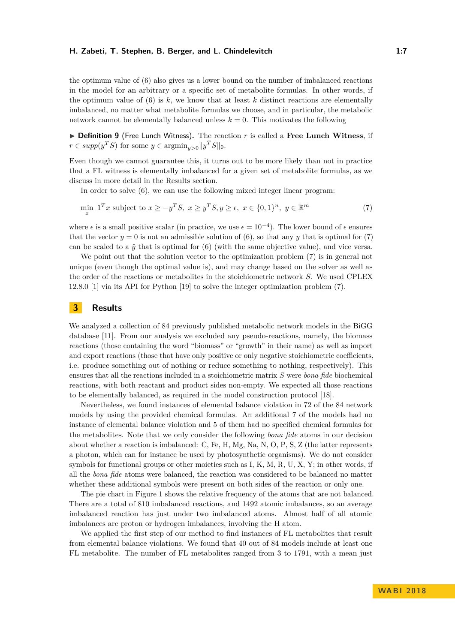the optimum value of [\(6\)](#page-5-1) also gives us a lower bound on the number of imbalanced reactions in the model for an arbitrary or a specific set of metabolite formulas. In other words, if the optimum value of  $(6)$  is k, we know that at least k distinct reactions are elementally imbalanced, no matter what metabolite formulas we choose, and in particular, the metabolic network cannot be elementally balanced unless  $k = 0$ . This motivates the following

▶ **Definition 9** (Free Lunch Witness). The reaction *r* is called a Free Lunch Witness, if  $r \in \text{supp}(y^T S)$  for some  $y \in \text{argmin}_{y>0} ||y^T S||_0$ .

Even though we cannot guarantee this, it turns out to be more likely than not in practice that a FL witness is elementally imbalanced for a given set of metabolite formulas, as we discuss in more detail in the Results section.

<span id="page-6-0"></span>In order to solve [\(6\)](#page-5-1), we can use the following mixed integer linear program:

$$
\min_{x} \mathbf{1}^T x \text{ subject to } x \ge -y^T S, \ x \ge y^T S, y \ge \epsilon, \ x \in \{0, 1\}^n, \ y \in \mathbb{R}^m \tag{7}
$$

where  $\epsilon$  is a small positive scalar (in practice, we use  $\epsilon = 10^{-4}$ ). The lower bound of  $\epsilon$  ensures that the vector  $y = 0$  is not an admissible solution of [\(6\)](#page-5-1), so that any *y* that is optimal for [\(7\)](#page-6-0) can be scaled to a  $\hat{y}$  that is optimal for [\(6\)](#page-5-1) (with the same objective value), and vice versa.

We point out that the solution vector to the optimization problem  $(7)$  is in general not unique (even though the optimal value is), and may change based on the solver as well as the order of the reactions or metabolites in the stoichiometric network *S*. We used CPLEX 12.8.0 [\[1\]](#page-11-14) via its API for Python [\[19\]](#page-12-3) to solve the integer optimization problem [\(7\)](#page-6-0).

## **3 Results**

We analyzed a collection of 84 previously published metabolic network models in the BiGG database [\[11\]](#page-11-8). From our analysis we excluded any pseudo-reactions, namely, the biomass reactions (those containing the word "biomass" or "growth" in their name) as well as import and export reactions (those that have only positive or only negative stoichiometric coefficients, i.e. produce something out of nothing or reduce something to nothing, respectively). This ensures that all the reactions included in a stoichiometric matrix *S* were *bona fide* biochemical reactions, with both reactant and product sides non-empty. We expected all those reactions to be elementally balanced, as required in the model construction protocol [\[18\]](#page-12-2).

Nevertheless, we found instances of elemental balance violation in 72 of the 84 network models by using the provided chemical formulas. An additional 7 of the models had no instance of elemental balance violation and 5 of them had no specified chemical formulas for the metabolites. Note that we only consider the following *bona fide* atoms in our decision about whether a reaction is imbalanced: C, Fe, H, Mg, Na, N, O, P, S, Z (the latter represents a photon, which can for instance be used by photosynthetic organisms). We do not consider symbols for functional groups or other moieties such as I, K, M, R, U, X, Y; in other words, if all the *bona fide* atoms were balanced, the reaction was considered to be balanced no matter whether these additional symbols were present on both sides of the reaction or only one.

The pie chart in Figure [1](#page-7-0) shows the relative frequency of the atoms that are not balanced. There are a total of 810 imbalanced reactions, and 1492 atomic imbalances, so an average imbalanced reaction has just under two imbalanced atoms. Almost half of all atomic imbalances are proton or hydrogen imbalances, involving the H atom.

We applied the first step of our method to find instances of FL metabolites that result from elemental balance violations. We found that 40 out of 84 models include at least one FL metabolite. The number of FL metabolites ranged from 3 to 1791, with a mean just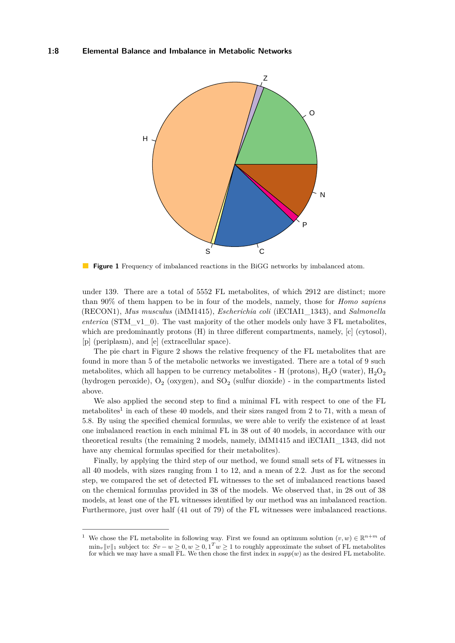#### <span id="page-7-0"></span>**1:8 Elemental Balance and Imbalance in Metabolic Networks**



**Figure 1** Frequency of imbalanced reactions in the BiGG networks by imbalanced atom.

under 139. There are a total of 5552 FL metabolites, of which 2912 are distinct; more than 90% of them happen to be in four of the models, namely, those for *Homo sapiens* (RECON1), *Mus musculus* (iMM1415), *Escherichia coli* (iECIAI1\_1343), and *Salmonella enterica* (STM\_v1\_0). The vast majority of the other models only have 3 FL metabolites, which are predominantly protons (H) in three different compartments, namely, [c] (cytosol), [p] (periplasm), and [e] (extracellular space).

The pie chart in Figure [2](#page-8-0) shows the relative frequency of the FL metabolites that are found in more than 5 of the metabolic networks we investigated. There are a total of 9 such metabolites, which all happen to be currency metabolites - H (protons),  $H_2O$  (water),  $H_2O_2$ (hydrogen peroxide),  $O_2$  (oxygen), and  $SO_2$  (sulfur dioxide) - in the compartments listed above.

We also applied the second step to find a minimal FL with respect to one of the FL metabolites<sup>[1](#page-7-1)</sup> in each of these 40 models, and their sizes ranged from 2 to 71, with a mean of 5.8. By using the specified chemical formulas, we were able to verify the existence of at least one imbalanced reaction in each minimal FL in 38 out of 40 models, in accordance with our theoretical results (the remaining 2 models, namely, iMM1415 and iECIAI1\_1343, did not have any chemical formulas specified for their metabolites).

Finally, by applying the third step of our method, we found small sets of FL witnesses in all 40 models, with sizes ranging from 1 to 12, and a mean of 2.2. Just as for the second step, we compared the set of detected FL witnesses to the set of imbalanced reactions based on the chemical formulas provided in 38 of the models. We observed that, in 28 out of 38 models, at least one of the FL witnesses identified by our method was an imbalanced reaction. Furthermore, just over half (41 out of 79) of the FL witnesses were imbalanced reactions.

<span id="page-7-1"></span><sup>&</sup>lt;sup>1</sup> We chose the FL metabolite in following way. First we found an optimum solution  $(v, w) \in \mathbb{R}^{n+m}$  of  $\min_v ||v||_1$  subject to:  $Sv - w \geq 0, w \geq 0, 1^T w \geq 1$  to roughly approximate the subset of FL metabolites for which we may have a small FL. We then chose the first index in  $supp(w)$  as the desired FL metabolite.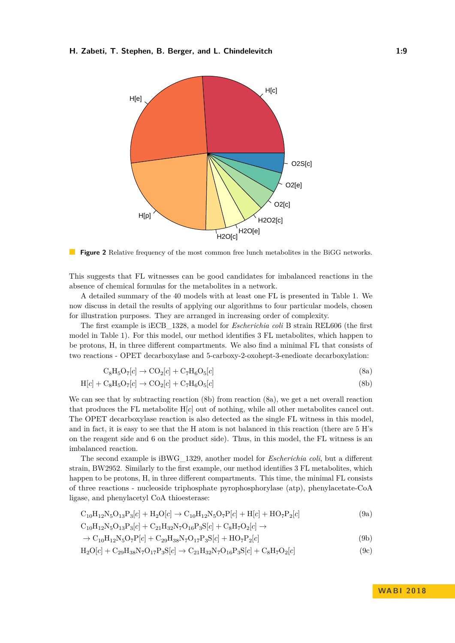<span id="page-8-0"></span>

**Figure 2** Relative frequency of the most common free lunch metabolites in the BiGG networks.

This suggests that FL witnesses can be good candidates for imbalanced reactions in the absence of chemical formulas for the metabolites in a network.

A detailed summary of the 40 models with at least one FL is presented in Table 1. We now discuss in detail the results of applying our algorithms to four particular models, chosen for illustration purposes. They are arranged in increasing order of complexity.

The first example is iECB\_1328, a model for *Escherichia coli* B strain REL606 (the first model in Table 1). For this model, our method identifies 3 FL metabolites, which happen to be protons, H, in three different compartments. We also find a minimal FL that consists of two reactions - OPET decarboxylase and 5-carboxy-2-oxohept-3-enedioate decarboxylation:

<span id="page-8-2"></span><span id="page-8-1"></span>
$$
C_8H_5O_7[c] \rightarrow CO_2[c] + C_7H_6O_5[c] \tag{8a}
$$

$$
H[c] + C_8H_5O_7[c] \rightarrow CO_2[c] + C_7H_6O_5[c]
$$
\n
$$
(8b)
$$

We can see that by subtracting reaction [\(8b\)](#page-8-1) from reaction [\(8a\)](#page-8-2), we get a net overall reaction that produces the FL metabolite H[*c*] out of nothing, while all other metabolites cancel out. The OPET decarboxylase reaction is also detected as the single FL witness in this model, and in fact, it is easy to see that the H atom is not balanced in this reaction (there are 5 H's on the reagent side and 6 on the product side). Thus, in this model, the FL witness is an imbalanced reaction.

The second example is iBWG\_1329, another model for *Escherichia coli*, but a different strain, BW2952. Similarly to the first example, our method identifies 3 FL metabolites, which happen to be protons, H, in three different compartments. This time, the minimal FL consists of three reactions - nucleoside triphosphate pyrophosphorylase (atp), phenylacetate-CoA ligase, and phenylacetyl CoA thioesterase:

$$
C_{10}H_{12}N_5O_{13}P_3[c] + H_2O[c] \rightarrow C_{10}H_{12}N_5O_7P[c] + H[c] + HO_7P_2[c]
$$
\n
$$
C_{10}H_{12}N_5O_{13}P_3[c] + C_{21}H_{32}N_7O_{16}P_3S[c] + C_8H_7O_2[c] \rightarrow
$$
\n(9a)

<span id="page-8-5"></span><span id="page-8-4"></span><span id="page-8-3"></span>
$$
\rightarrow C_{10}H_{12}N_5O_7P[c] + C_{29}H_{38}N_7O_{17}P_3S[c] + HO_7P_2[c]
$$
\n(9b)

$$
H_2O[c] + C_{29}H_{38}N_7O_{17}P_3S[c] \rightarrow C_{21}H_{32}N_7O_{16}P_3S[c] + C_8H_7O_2[c]
$$
\n(9c)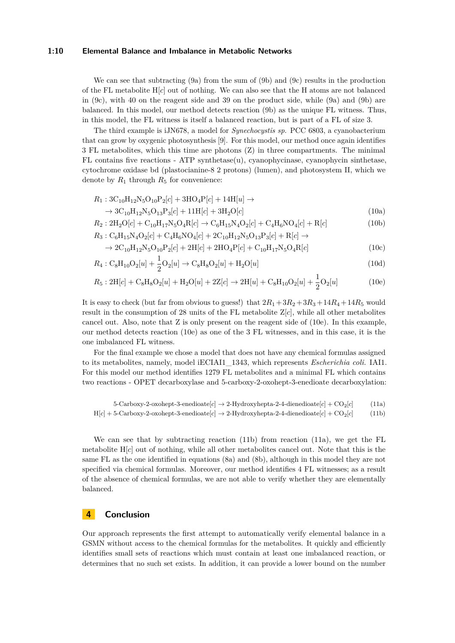#### **1:10 Elemental Balance and Imbalance in Metabolic Networks**

We can see that subtracting [\(9a\)](#page-8-3) from the sum of [\(9b\)](#page-8-4) and [\(9c\)](#page-8-5) results in the production of the FL metabolite H[*c*] out of nothing. We can also see that the H atoms are not balanced in  $(9c)$ , with 40 on the reagent side and 39 on the product side, while  $(9a)$  and  $(9b)$  are balanced. In this model, our method detects reaction [\(9b\)](#page-8-4) as the unique FL witness. Thus, in this model, the FL witness is itself a balanced reaction, but is part of a FL of size 3.

The third example is iJN678, a model for *Synechocystis sp.* PCC 6803, a cyanobacterium that can grow by oxygenic photosynthesis [\[9\]](#page-11-15). For this model, our method once again identifies 3 FL metabolites, which this time are photons (Z) in three compartments. The minimal FL contains five reactions - ATP synthetase(u), cyanophycinase, cyanophycin sinthetase, cytochrome oxidase bd (plastocianine-8 2 protons) (lumen), and photosystem II, which we denote by  $R_1$  through  $R_5$  for convenience:

$$
R_1:3C_{10}H_{12}N_5O_{10}P_2[c] + 3HO_4P[c] + 14H[u] \rightarrow
$$
  

$$
\rightarrow 3C_{10}H_{12}N_5O_{13}P_3[c] + 11H[c] + 3H_2O[c]
$$
(10a)

$$
R_2:2H_2O[c] + C_{10}H_{17}N_5O_4R[c] \rightarrow C_6H_{15}N_4O_2[c] + C_4H_6NO_4[c] + R[c]
$$
\n
$$
R_3: C_6H_{15}N_4O_2[c] + C_4H_6NO_4[c] + 2C_{10}H_{12}N_5O_{13}P_3[c] + R[c] \rightarrow (10b)
$$

<span id="page-9-0"></span>
$$
\rightarrow 2C_{10}H_{12}N_5O_{10}P_2[c] + 2H[c] + 2HO_4P[c] + C_{10}H_{17}N_5O_4R[c]
$$
\n(10c)

$$
R_4: C_8H_{10}O_2[u] + \frac{1}{2}O_2[u] \to C_8H_8O_2[u] + H_2O[u]
$$
\n(10d)

$$
R_5:2\text{H}[c] + \text{C}_8\text{H}_8\text{O}_2[u] + \text{H}_2\text{O}[u] + 2\text{Z}[c] \to 2\text{H}[u] + \text{C}_8\text{H}_{10}\text{O}_2[u] + \frac{1}{2}\text{O}_2[u] \tag{10e}
$$

It is easy to check (but far from obvious to guess!) that  $2R_1 + 3R_2 + 3R_3 + 14R_4 + 14R_5$  would result in the consumption of 28 units of the FL metabolite Z[*c*], while all other metabolites cancel out. Also, note that Z is only present on the reagent side of [\(10e\)](#page-9-0). In this example, our method detects reaction [\(10e\)](#page-9-0) as one of the 3 FL witnesses, and in this case, it is the one imbalanced FL witness.

For the final example we chose a model that does not have any chemical formulas assigned to its metabolites, namely, model iECIAI1\_1343, which represents *Escherichia coli.* IAI1. For this model our method identifies 1279 FL metabolites and a minimal FL which contains two reactions - OPET decarboxylase and 5-carboxy-2-oxohept-3-enedioate decarboxylation:

<span id="page-9-2"></span><span id="page-9-1"></span>5-Carboxy-2-oxohept-3-enedioate $[c] \rightarrow 2$ -Hydroxyhepta-2-4-dienedioate $[c] + CO_2[c]$  (11a)

$$
H[c] + 5-Carboxy-2-oxohept-3-enedioate[c] \rightarrow 2-Hydroxyhepta-2-4-diene diotaete[c] + CO2[c] \qquad (11b)
$$

We can see that by subtracting reaction [\(11b\)](#page-9-1) from reaction [\(11a\)](#page-9-2), we get the FL metabolite H[*c*] out of nothing, while all other metabolites cancel out. Note that this is the same FL as the one identified in equations [\(8a\)](#page-8-2) and [\(8b\)](#page-8-1), although in this model they are not specified via chemical formulas. Moreover, our method identifies 4 FL witnesses; as a result of the absence of chemical formulas, we are not able to verify whether they are elementally balanced.

# **4 Conclusion**

Our approach represents the first attempt to automatically verify elemental balance in a GSMN without access to the chemical formulas for the metabolites. It quickly and efficiently identifies small sets of reactions which must contain at least one imbalanced reaction, or determines that no such set exists. In addition, it can provide a lower bound on the number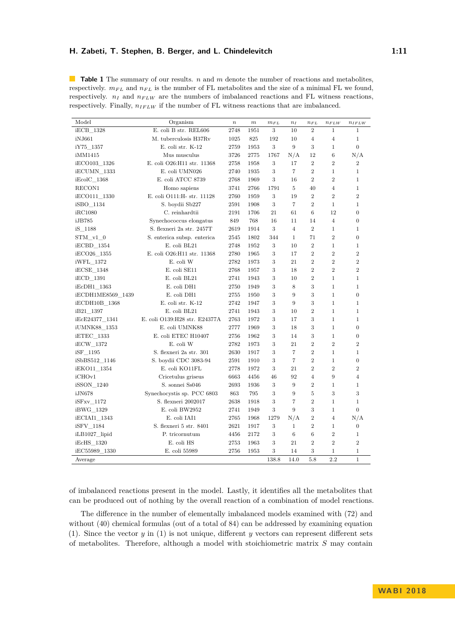**Table 1** The summary of our results. *n* and *m* denote the number of reactions and metabolites, respectively.  $m_{FL}$  and  $n_{FL}$  is the number of FL metabolites and the size of a minimal FL we found, respectively.  $n_I$  and  $n_{FLW}$  are the numbers of imbalanced reactions and FL witness reactions, respectively. Finally,  $n_{IFLW}$  if the number of FL witness reactions that are imbalanced.

| Model             | Organism                      | $\it n$ | $\boldsymbol{m}$ | $m_{FL}$ | $n_I$          | $n_{FL}$       | $n_{FLW}$      | $n_{IFLW}$       |
|-------------------|-------------------------------|---------|------------------|----------|----------------|----------------|----------------|------------------|
| $iECB_1328$       | E. coli B str. REL606         | 2748    | 1951             | 3        | 10             | $\overline{2}$ | $\mathbf{1}$   | $\mathbf{1}$     |
| iNJ661            | M. tuberculosis H37Rv         | 1025    | 825              | 192      | 10             | $\overline{4}$ | $\overline{4}$ | $\mathbf{1}$     |
| iY75 1357         | E. coli str. K-12             | 2759    | 1953             | 3        | 9              | 3              | $\mathbf{1}$   | $\overline{0}$   |
| iMM1415           | Mus musculus                  | 3726    | 2775             | 1767     | N/A            | 12             | 6              | N/A              |
| iECO103 1326      | E. coli O26:H11 str. 11368    | 2758    | 1958             | 3        | 17             | $\overline{2}$ | $\overline{2}$ | $\overline{2}$   |
| iECUMN 1333       | E. coli UMN026                | 2740    | 1935             | 3        | $\overline{7}$ | $\overline{2}$ | $\mathbf{1}$   | $\mathbf{1}$     |
| iEcolC 1368       | E. coli ATCC 8739             | 2768    | 1969             | 3        | 16             | $\overline{2}$ | $\overline{2}$ | $\mathbf{1}$     |
| RECON1            | Homo sapiens                  | 3741    | 2766             | 1791     | 5              | 40             | $\overline{4}$ | $\mathbf{1}$     |
| iECO111 1330      | E. coli O111:H- str. 11128    | 2760    | 1959             | 3        | 19             | $\overline{2}$ | $\overline{2}$ | $\overline{2}$   |
| iSBO 1134         | S. boydii Sb227               | 2591    | 1908             | 3        | $\overline{7}$ | $\overline{2}$ | $\mathbf{1}$   | $\mathbf{1}$     |
| iRC1080           | C. reinhardtii                | 2191    | 1706             | 21       | 61             | 6              | 12             | $\overline{0}$   |
| iJB785            | Synechococcus elongatus       | 849     | 768              | 16       | 11             | 14             | $\overline{4}$ | $\overline{0}$   |
| iS 1188           | S. flexneri 2a str. 2457T     | 2619    | 1914             | 3        | $\overline{4}$ | $\overline{2}$ | $\mathbf{1}$   | $\mathbf{1}$     |
| STM v1 0          | S. enterica subsp. enterica   | 2545    | 1802             | 344      | $\mathbf{1}$   | 71             | $\overline{2}$ | $\overline{0}$   |
| iECBD_1354        | E. coli BL21                  | 2748    | 1952             | 3        | 10             | $\overline{2}$ | $\mathbf{1}$   | $\mathbf{1}$     |
| iECO26_1355       | E. coli O26:H11 str. 11368    | 2780    | 1965             | 3        | 17             | $\overline{2}$ | $\overline{2}$ | $\overline{2}$   |
| iWFL 1372         | E. coli W                     | 2782    | 1973             | 3        | 21             | $\overline{2}$ | $\overline{2}$ | $\overline{2}$   |
| iECSE 1348        | E. coli SE11                  | 2768    | 1957             | 3        | 18             | $\overline{2}$ | $\overline{2}$ | $\overline{2}$   |
| iECD 1391         | E. coli BL21                  | 2741    | 1943             | 3        | 10             | $\overline{2}$ | $\mathbf{1}$   | $\mathbf{1}$     |
| iEcDH1 1363       | E. coli DH1                   | 2750    | 1949             | 3        | 8              | 3              | $\mathbf{1}$   | $\mathbf{1}$     |
| iECDH1ME8569 1439 | E. coli DH1                   | 2755    | 1950             | 3        | 9              | 3              | $\mathbf{1}$   | $\overline{0}$   |
| iECDH10B_1368     | E. coli str. K-12             | 2742    | 1947             | 3        | 9              | 3              | $\mathbf{1}$   | $\mathbf{1}$     |
| iB21 1397         | E. coli BL21                  | 2741    | 1943             | 3        | 10             | $\overline{2}$ | $\mathbf{1}$   | $\mathbf{1}$     |
| iEcE24377 1341    | E. coli O139:H28 str. E24377A | 2763    | 1972             | 3        | 17             | 3              | $\mathbf{1}$   | $\mathbf{1}$     |
| iUMNK88 1353      | E. coli UMNK88                | 2777    | 1969             | 3        | 18             | 3              | $\mathbf{1}$   | $\overline{0}$   |
| iETEC 1333        | E. coli ETEC H10407           | 2756    | 1962             | 3        | 14             | 3              | $\mathbf{1}$   | $\boldsymbol{0}$ |
| iECW 1372         | E. coli W                     | 2782    | 1973             | 3        | 21             | $\overline{2}$ | $\overline{2}$ | $\overline{2}$   |
| iSF_1195          | S. flexneri 2a str. 301       | 2630    | 1917             | 3        | $\overline{7}$ | $\overline{2}$ | $\mathbf{1}$   | $\mathbf{1}$     |
| iSbBS512 1146     | S. boydii CDC 3083-94         | 2591    | 1910             | 3        | $\overline{7}$ | $\overline{2}$ | $\mathbf{1}$   | $\overline{0}$   |
| iEKO11 1354       | E. coli KO11FL                | 2778    | 1972             | 3        | 21             | $\overline{2}$ | $\overline{2}$ | $\overline{2}$   |
| iCHOv1            | Cricetulus griseus            | 6663    | 4456             | 46       | 92             | $\overline{4}$ | 9              | $\overline{4}$   |
| iSSON_1240        | S. sonnei Ss046               | 2693    | 1936             | 3        | 9              | $\overline{2}$ | $\mathbf{1}$   | $\mathbf{1}$     |
| iJN678            | Synechocystis sp. PCC 6803    | 863     | 795              | 3        | 9              | 5              | 3              | 3                |
| iSFxv 1172        | S. flexneri 2002017           | 2638    | 1918             | 3        | $\overline{7}$ | $\overline{2}$ | $\mathbf{1}$   | $\mathbf{1}$     |
| iBWG 1329         | E. coli BW2952                | 2741    | 1949             | 3        | 9              | 3              | $\mathbf{1}$   | $\boldsymbol{0}$ |
| iECIAI1 1343      | E. coli IAI1                  | 2765    | 1968             | 1279     | N/A            | $\overline{2}$ | $\overline{4}$ | N/A              |
| iSFV 1184         | S. flexneri 5 str. 8401       | 2621    | 1917             | 3        | $\mathbf{1}$   | $\overline{2}$ | $\mathbf{1}$   | $\boldsymbol{0}$ |
| iLB1027_lipid     | P. tricornutum                | 4456    | 2172             | 3        | $\,6$          | 6              | $\overline{2}$ | $\mathbf{1}$     |
| iEcHS 1320        | E. coli HS                    | 2753    | 1963             | 3        | 21             | $\overline{2}$ | $\overline{2}$ | $\overline{2}$   |
| iEC55989 1330     | E. coli 55989                 | 2756    | 1953             | 3        | 14             | 3              | $\mathbf{1}$   | $\mathbf{1}$     |
| Average           |                               |         |                  | 138.8    | 14.0           | 5.8            | 2.2            | $\mathbf{1}$     |

of imbalanced reactions present in the model. Lastly, it identifies all the metabolites that can be produced out of nothing by the overall reaction of a combination of model reactions.

The difference in the number of elementally imbalanced models examined with (72) and without (40) chemical formulas (out of a total of 84) can be addressed by examining equation [\(1\)](#page-2-1). Since the vector *y* in [\(1\)](#page-2-1) is not unique, different *y* vectors can represent different sets of metabolites. Therefore, although a model with stoichiometric matrix *S* may contain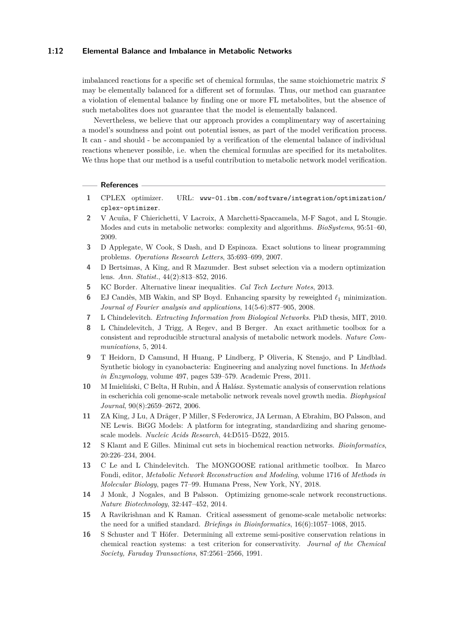#### **1:12 Elemental Balance and Imbalance in Metabolic Networks**

imbalanced reactions for a specific set of chemical formulas, the same stoichiometric matrix *S* may be elementally balanced for a different set of formulas. Thus, our method can guarantee a violation of elemental balance by finding one or more FL metabolites, but the absence of such metabolites does not guarantee that the model is elementally balanced.

Nevertheless, we believe that our approach provides a complimentary way of ascertaining a model's soundness and point out potential issues, as part of the model verification process. It can - and should - be accompanied by a verification of the elemental balance of individual reactions whenever possible, i.e. when the chemical formulas are specified for its metabolites. We thus hope that our method is a useful contribution to metabolic network model verification.

#### - References -

- <span id="page-11-14"></span>**1** CPLEX optimizer. URL: [www-01.ibm.com/software/integration/optimization/](www-01.ibm.com/software/integration/optimization/cplex-optimizer) [cplex-optimizer](www-01.ibm.com/software/integration/optimization/cplex-optimizer).
- <span id="page-11-1"></span>**2** V Acuña, F Chierichetti, V Lacroix, A Marchetti-Spaccamela, M-F Sagot, and L Stougie. Modes and cuts in metabolic networks: complexity and algorithms. *BioSystems*, 95:51–60, 2009.
- <span id="page-11-13"></span>**3** D Applegate, W Cook, S Dash, and D Espinoza. Exact solutions to linear programming problems. *Operations Research Letters*, 35:693–699, 2007.
- <span id="page-11-11"></span>**4** D Bertsimas, A King, and R Mazumder. Best subset selection via a modern optimization lens. *Ann. Statist.*, 44(2):813–852, 2016.
- <span id="page-11-10"></span>**5** KC Border. Alternative linear inequalities. *Cal Tech Lecture Notes*, 2013.
- <span id="page-11-12"></span>**6** EJ Candès, MB Wakin, and SP Boyd. Enhancing sparsity by reweighted  $\ell_1$  minimization. *Journal of Fourier analysis and applications*, 14(5-6):877–905, 2008.
- <span id="page-11-5"></span>**7** L Chindelevitch. *Extracting Information from Biological Networks*. PhD thesis, MIT, 2010.
- <span id="page-11-6"></span>**8** L Chindelevitch, J Trigg, A Regev, and B Berger. An exact arithmetic toolbox for a consistent and reproducible structural analysis of metabolic network models. *Nature Communications*, 5, 2014.
- <span id="page-11-15"></span>**9** T Heidorn, D Camsund, H Huang, P Lindberg, P Oliveria, K Stensjo, and P Lindblad. Synthetic biology in cyanobacteria: Engineering and analyzing novel functions. In *Methods in Enzymology*, volume 497, pages 539–579. Academic Press, 2011.
- <span id="page-11-0"></span>**10** M Imieliński, C Belta, H Rubin, and Á Halász. Systematic analysis of conservation relations in escherichia coli genome-scale metabolic network reveals novel growth media. *Biophysical Journal*, 90(8):2659–2672, 2006.
- <span id="page-11-8"></span>**11** ZA King, J Lu, A Dräger, P Miller, S Federowicz, JA Lerman, A Ebrahim, BO Palsson, and NE Lewis. BiGG Models: A platform for integrating, standardizing and sharing genomescale models. *Nucleic Acids Research*, 44:D515–D522, 2015.
- <span id="page-11-2"></span>**12** S Klamt and E Gilles. Minimal cut sets in biochemical reaction networks. *Bioinformatics*, 20:226–234, 2004.
- <span id="page-11-7"></span>**13** C Le and L Chindelevitch. The MONGOOSE rational arithmetic toolbox. In Marco Fondi, editor, *Metabolic Network Reconstruction and Modeling*, volume 1716 of *Methods in Molecular Biology*, pages 77–99. Humana Press, New York, NY, 2018.
- <span id="page-11-4"></span>**14** J Monk, J Nogales, and B Palsson. Optimizing genome-scale network reconstructions. *Nature Biotechnology*, 32:447–452, 2014.
- <span id="page-11-3"></span>**15** A Ravikrishnan and K Raman. Critical assessment of genome-scale metabolic networks: the need for a unified standard. *Briefings in Bioinformatics*, 16(6):1057–1068, 2015.
- <span id="page-11-9"></span>**16** S Schuster and T Höfer. Determining all extreme semi-positive conservation relations in chemical reaction systems: a test criterion for conservativity. *Journal of the Chemical Society, Faraday Transactions*, 87:2561–2566, 1991.